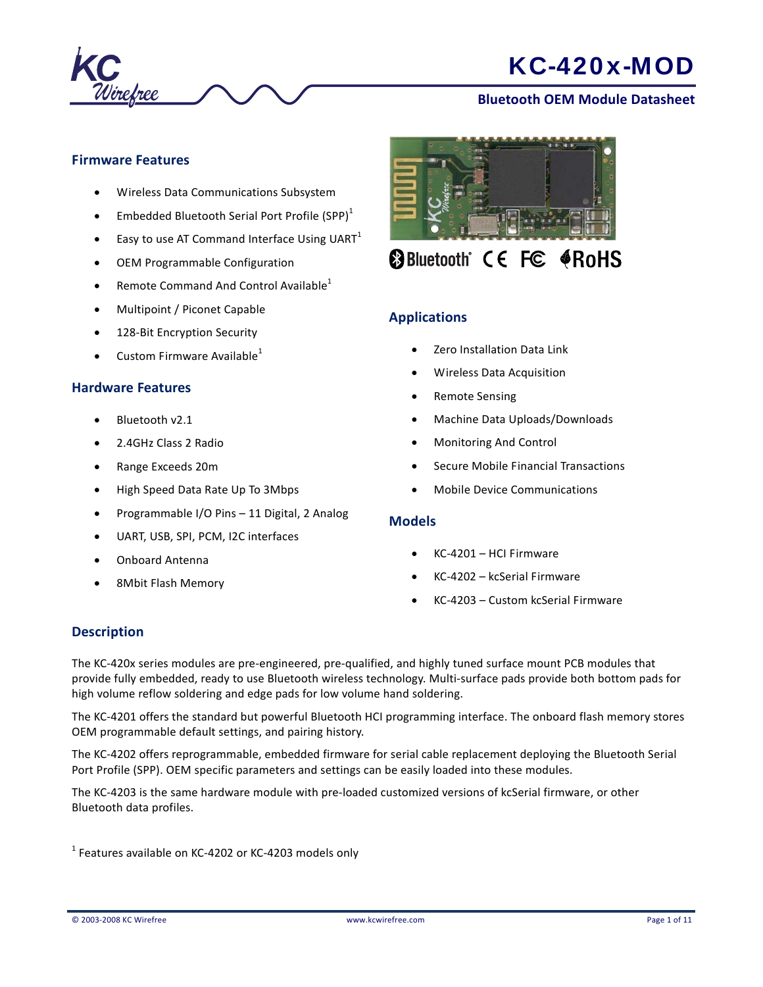

### **Bluetooth OEM Module Datasheet**

### **Firmware Features**

- Wireless Data Communications Subsystem
- Embedded Bluetooth Serial Port Profile  $(SPP)^1$
- $\bullet$  Easy to use AT Command Interface Using UART<sup>1</sup>
- OEM Programmable Configuration
- Remote Command And Control Available $<sup>1</sup>$ </sup>
- Multipoint / Piconet Capable
- 128-Bit Encryption Security
- Custom Firmware Available $1$

#### **Hardware Features**

- Bluetooth v2.1
- 2.4GHz Class 2 Radio
- Range Exceeds 20m
- High Speed Data Rate Up To 3Mbps
- Programmable I/O Pins 11 Digital, 2 Analog
- UART, USB, SPI, PCM, I2C interfaces
- Onboard Antenna
- 8Mbit Flash Memory



# **@Bluetooth CE FC @RoHS**

### **Applications**

- Zero Installation Data Link
- Wireless Data Acquisition
- Remote Sensing
- Machine Data Uploads/Downloads
- Monitoring And Control
- Secure Mobile Financial Transactions
- Mobile Device Communications

#### **Models**

- KC‐4201 HCI Firmware
- KC‐4202 kcSerial Firmware
- KC‐4203 Custom kcSerial Firmware

#### **Description**

The KC‐420x series modules are pre‐engineered, pre‐qualified, and highly tuned surface mount PCB modules that provide fully embedded, ready to use Bluetooth wireless technology. Multi‐surface pads provide both bottom pads for high volume reflow soldering and edge pads for low volume hand soldering.

The KC‐4201 offers the standard but powerful Bluetooth HCI programming interface. The onboard flash memory stores OEM programmable default settings, and pairing history.

The KC‐4202 offers reprogrammable, embedded firmware for serial cable replacement deploying the Bluetooth Serial Port Profile (SPP). OEM specific parameters and settings can be easily loaded into these modules.

The KC‐4203 is the same hardware module with pre‐loaded customized versions of kcSerial firmware, or other Bluetooth data profiles.

 $1$  Features available on KC-4202 or KC-4203 models only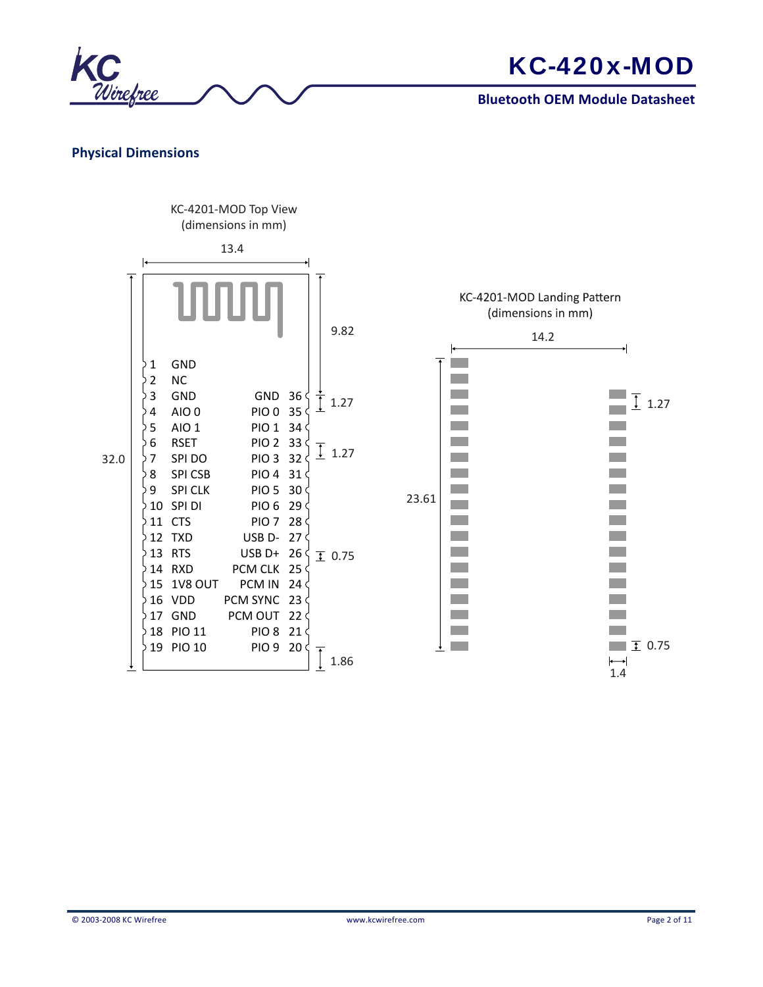



## **Physical Dimensions**

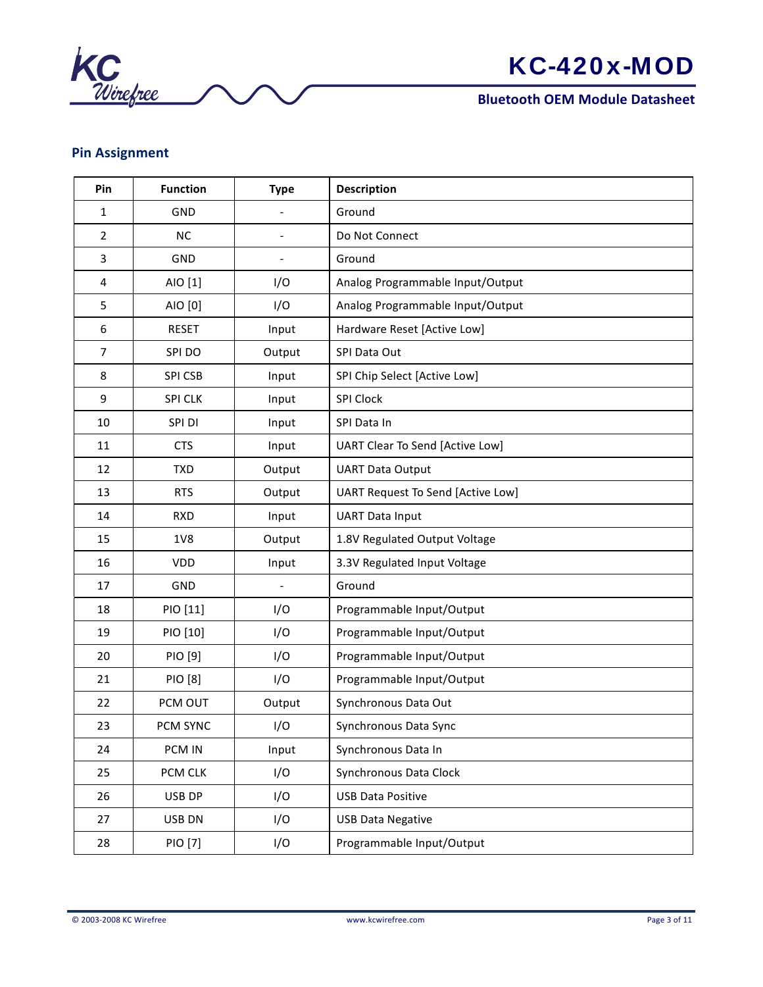

# **Pin Assignment**

| Pin            | <b>Function</b> | <b>Type</b>              | <b>Description</b>                       |
|----------------|-----------------|--------------------------|------------------------------------------|
| $\mathbf{1}$   | GND             | $\overline{a}$           | Ground                                   |
| $\overline{2}$ | NC              | $\overline{\phantom{a}}$ | Do Not Connect                           |
| $\overline{3}$ | GND             | $\overline{a}$           | Ground                                   |
| 4              | AIO [1]         | I/O                      | Analog Programmable Input/Output         |
| 5              | AIO [0]         | I/O                      | Analog Programmable Input/Output         |
| 6              | <b>RESET</b>    | Input                    | Hardware Reset [Active Low]              |
| $\overline{7}$ | SPI DO          | Output                   | SPI Data Out                             |
| 8              | <b>SPI CSB</b>  | Input                    | SPI Chip Select [Active Low]             |
| 9              | <b>SPI CLK</b>  | Input                    | <b>SPI Clock</b>                         |
| 10             | SPI DI          | Input                    | SPI Data In                              |
| 11             | <b>CTS</b>      | Input                    | UART Clear To Send [Active Low]          |
| 12             | <b>TXD</b>      | Output                   | <b>UART Data Output</b>                  |
| 13             | <b>RTS</b>      | Output                   | <b>UART Request To Send [Active Low]</b> |
| 14             | <b>RXD</b>      | Input                    | <b>UART Data Input</b>                   |
| 15             | 1V8             | Output                   | 1.8V Regulated Output Voltage            |
| 16             | VDD             | Input                    | 3.3V Regulated Input Voltage             |
| 17             | GND             |                          | Ground                                   |
| 18             | PIO [11]        | I/O                      | Programmable Input/Output                |
| 19             | PIO [10]        | I/O                      | Programmable Input/Output                |
| 20             | PIO [9]         | I/O                      | Programmable Input/Output                |
| 21             | PIO [8]         | I/O                      | Programmable Input/Output                |
| 22             | PCM OUT         | Output                   | Synchronous Data Out                     |
| 23             | PCM SYNC        | I/O                      | Synchronous Data Sync                    |
| 24             | PCM IN          | Input                    | Synchronous Data In                      |
| 25             | PCM CLK         | I/O                      | Synchronous Data Clock                   |
| 26             | USB DP          | I/O                      | <b>USB Data Positive</b>                 |
| 27             | USB DN          | I/O                      | <b>USB Data Negative</b>                 |
| 28             | PIO [7]         | I/O                      | Programmable Input/Output                |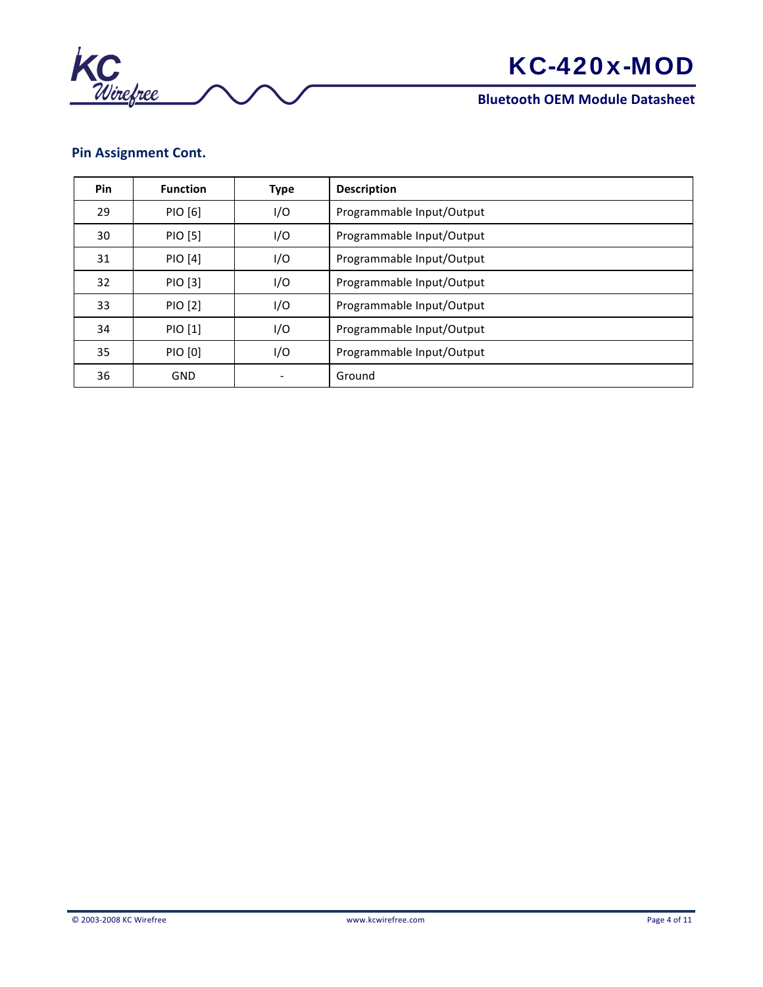

# **Pin Assignment Cont.**

| <b>Pin</b> | <b>Function</b> | <b>Type</b> | <b>Description</b>        |
|------------|-----------------|-------------|---------------------------|
| 29         | PIO [6]         | I/O         | Programmable Input/Output |
| 30         | PIO [5]         | I/O         | Programmable Input/Output |
| 31         | PIO [4]         | I/O         | Programmable Input/Output |
| 32         | PIO [3]         | I/O         | Programmable Input/Output |
| 33         | PIO [2]         | I/O         | Programmable Input/Output |
| 34         | PIO [1]         | I/O         | Programmable Input/Output |
| 35         | PIO [0]         | I/O         | Programmable Input/Output |
| 36         | <b>GND</b>      |             | Ground                    |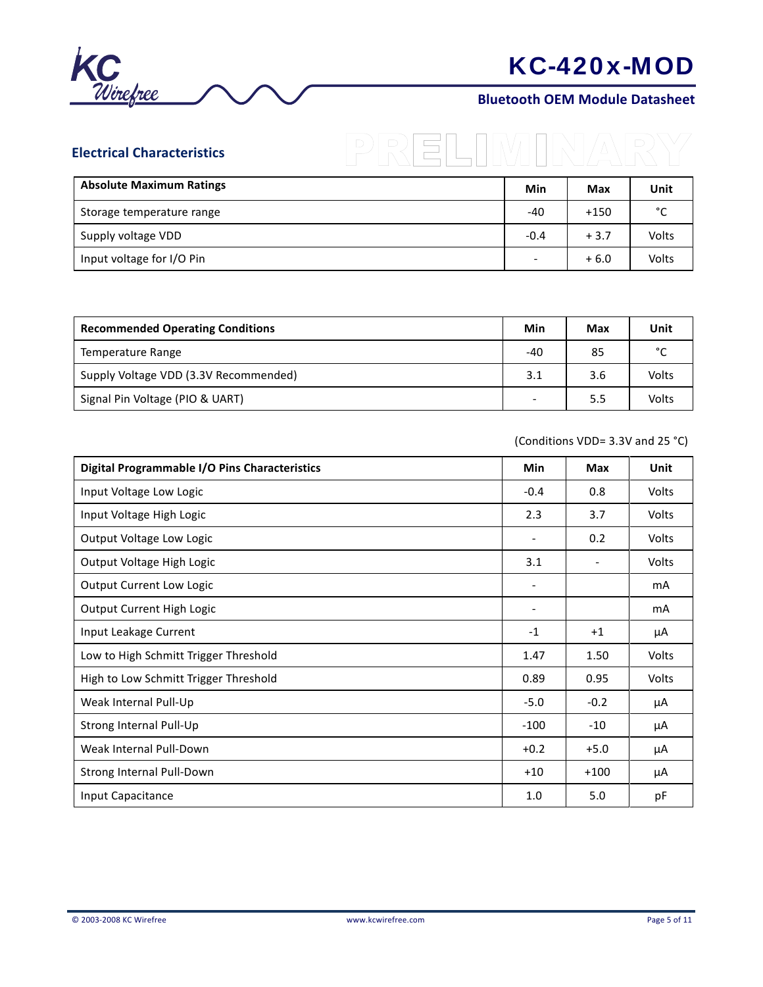

## **Bluetooth OEM Module Datasheet**

| <b>Electrical Characteristics</b> |        |            | D     |
|-----------------------------------|--------|------------|-------|
| <b>Absolute Maximum Ratings</b>   | Min    | <b>Max</b> | Unit  |
| Storage temperature range         | -40    | $+150$     | °C    |
| Supply voltage VDD                | $-0.4$ | $+3.7$     | Volts |
| Input voltage for I/O Pin         |        | $+6.0$     | Volts |

| <b>Recommended Operating Conditions</b> |     | Max | Unit   |
|-----------------------------------------|-----|-----|--------|
| Temperature Range                       | -40 | 85  | $\sim$ |
| Supply Voltage VDD (3.3V Recommended)   | 3.1 | 3.6 | Volts  |
| Signal Pin Voltage (PIO & UART)         |     | 5.5 | Volts  |

(Conditions VDD= 3.3V and 25 °C)

| Digital Programmable I/O Pins Characteristics | <b>Min</b>               | <b>Max</b>               | Unit         |
|-----------------------------------------------|--------------------------|--------------------------|--------------|
| Input Voltage Low Logic                       | $-0.4$                   | 0.8                      | Volts        |
| Input Voltage High Logic                      | 2.3                      | 3.7                      | <b>Volts</b> |
| Output Voltage Low Logic                      |                          | 0.2                      | <b>Volts</b> |
| Output Voltage High Logic                     | 3.1                      | $\overline{\phantom{0}}$ | <b>Volts</b> |
| Output Current Low Logic                      | $\overline{\phantom{a}}$ |                          | mA           |
| Output Current High Logic                     | $\overline{\phantom{a}}$ |                          | mA           |
| Input Leakage Current                         | $-1$                     | $+1$                     | μA           |
| Low to High Schmitt Trigger Threshold         | 1.47                     | 1.50                     | <b>Volts</b> |
| High to Low Schmitt Trigger Threshold         | 0.89                     | 0.95                     | <b>Volts</b> |
| Weak Internal Pull-Up                         | $-5.0$                   | $-0.2$                   | μA           |
| Strong Internal Pull-Up                       | $-100$                   | $-10$                    | μA           |
| Weak Internal Pull-Down                       | $+0.2$                   | $+5.0$                   | μA           |
| Strong Internal Pull-Down                     | $+10$                    | $+100$                   | μA           |
| Input Capacitance                             | 1.0                      | 5.0                      | рF           |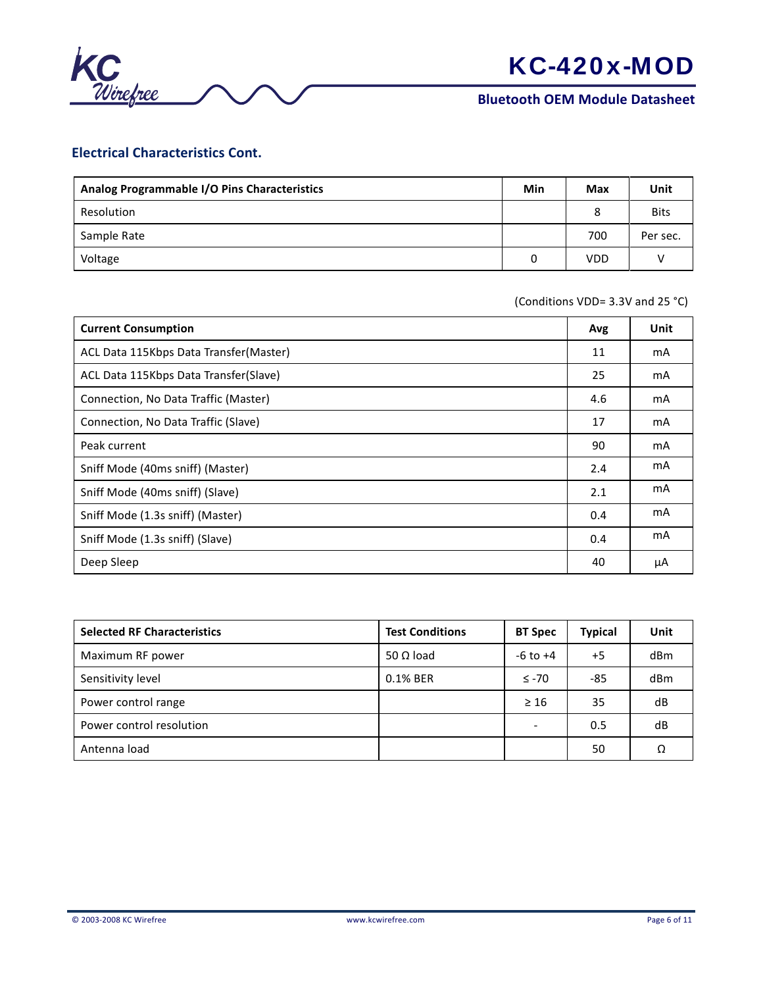

## **Electrical Characteristics Cont.**

| Analog Programmable I/O Pins Characteristics | Min | <b>Max</b> | Unit        |
|----------------------------------------------|-----|------------|-------------|
| Resolution                                   |     | 8          | <b>Bits</b> |
| Sample Rate                                  |     | 700        | Per sec.    |
| Voltage                                      |     | <b>VDD</b> |             |

(Conditions VDD= 3.3V and 25 °C)

| <b>Current Consumption</b>             | Avg | Unit |
|----------------------------------------|-----|------|
| ACL Data 115Kbps Data Transfer(Master) | 11  | mA   |
| ACL Data 115Kbps Data Transfer(Slave)  | 25  | mA   |
| Connection, No Data Traffic (Master)   | 4.6 | mA   |
| Connection, No Data Traffic (Slave)    | 17  | mA   |
| Peak current                           | 90  | mA   |
| Sniff Mode (40ms sniff) (Master)       | 2.4 | mA   |
| Sniff Mode (40ms sniff) (Slave)        | 2.1 | mA   |
| Sniff Mode (1.3s sniff) (Master)       | 0.4 | mA   |
| Sniff Mode (1.3s sniff) (Slave)        | 0.4 | mA   |
| Deep Sleep                             | 40  | μA   |

| <b>Selected RF Characteristics</b> | <b>Test Conditions</b> | <b>BT Spec</b>           | <b>Typical</b> | Unit |
|------------------------------------|------------------------|--------------------------|----------------|------|
| Maximum RF power                   | 50 $\Omega$ load       | $-6$ to $+4$             | $+5$           | dBm  |
| Sensitivity level                  | 0.1% BER               | $\leq$ -70               | $-85$          | dBm  |
| Power control range                |                        | $\geq 16$                | 35             | dB   |
| Power control resolution           |                        | $\overline{\phantom{0}}$ | 0.5            | dB   |
| Antenna load                       |                        |                          | 50             | Ω    |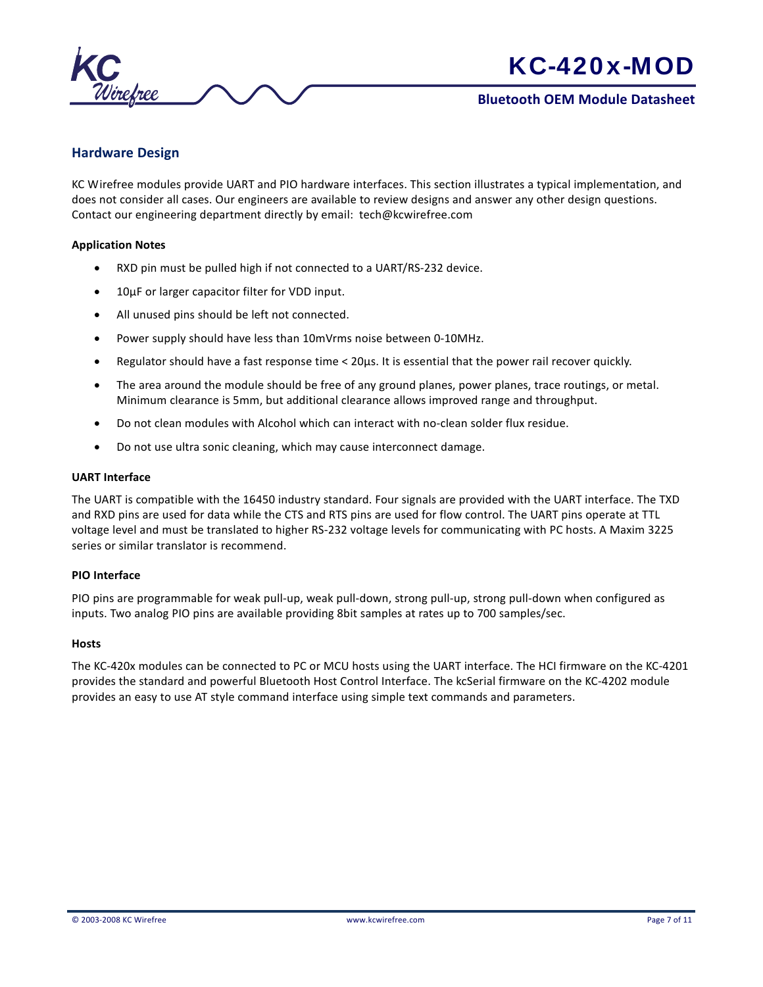

## **Hardware Design**

KC Wirefree modules provide UART and PIO hardware interfaces. This section illustrates a typical implementation, and does not consider all cases. Our engineers are available to review designs and answer any other design questions. Contact our engineering department directly by email: tech@kcwirefree.com

#### **Application Notes**

- RXD pin must be pulled high if not connected to a UART/RS-232 device.
- 10µF or larger capacitor filter for VDD input.
- All unused pins should be left not connected.
- Power supply should have less than 10mVrms noise between 0-10MHz.
- Regulator should have a fast response time < 20µs. It is essential that the power rail recover quickly.
- The area around the module should be free of any ground planes, power planes, trace routings, or metal. Minimum clearance is 5mm, but additional clearance allows improved range and throughput.
- Do not clean modules with Alcohol which can interact with no-clean solder flux residue.
- Do not use ultra sonic cleaning, which may cause interconnect damage.

#### **UART Interface**

The UART is compatible with the 16450 industry standard. Four signals are provided with the UART interface. The TXD and RXD pins are used for data while the CTS and RTS pins are used for flow control. The UART pins operate at TTL voltage level and must be translated to higher RS-232 voltage levels for communicating with PC hosts. A Maxim 3225 series or similar translator is recommend.

#### **PIO Interface**

PIO pins are programmable for weak pull-up, weak pull-down, strong pull-up, strong pull-down when configured as inputs. Two analog PIO pins are available providing 8bit samples at rates up to 700 samples/sec.

#### **Hosts**

The KC-420x modules can be connected to PC or MCU hosts using the UART interface. The HCI firmware on the KC-4201 provides the standard and powerful Bluetooth Host Control Interface. The kcSerial firmware on the KC-4202 module provides an easy to use AT style command interface using simple text commands and parameters.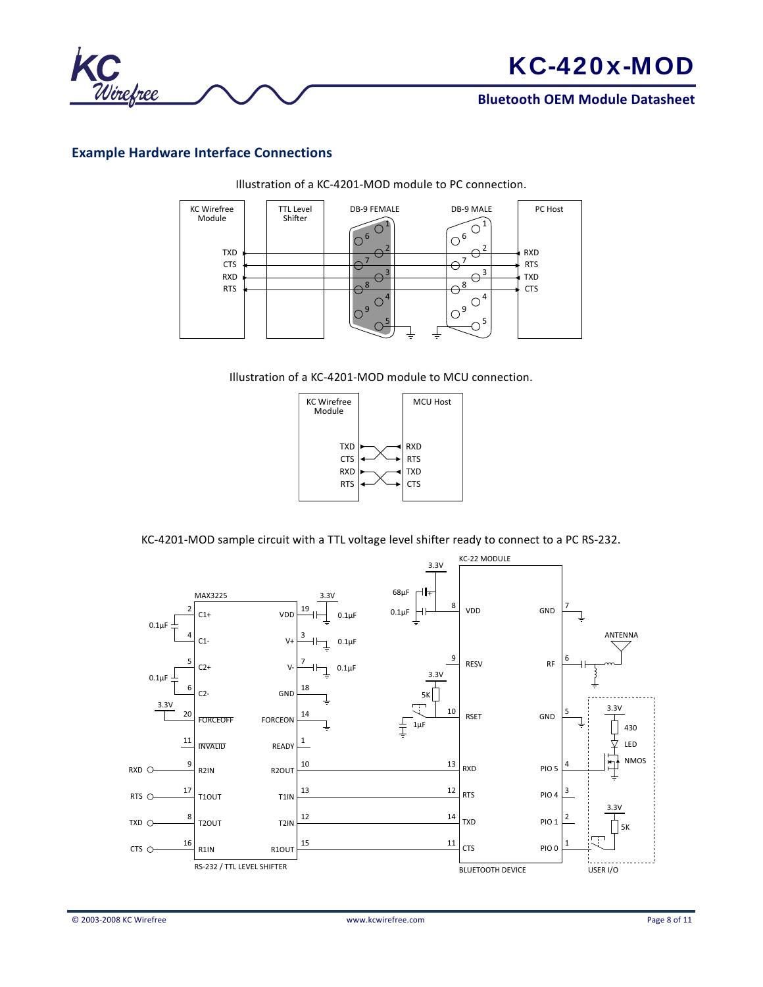

## **Bluetooth OEM Module Datasheet**

# **Example Hardware Interface Connections**



Illustration of a KC-4201-MOD module to PC connection.





KC-4201-MOD sample circuit with a TTL voltage level shifter ready to connect to a PC RS-232.

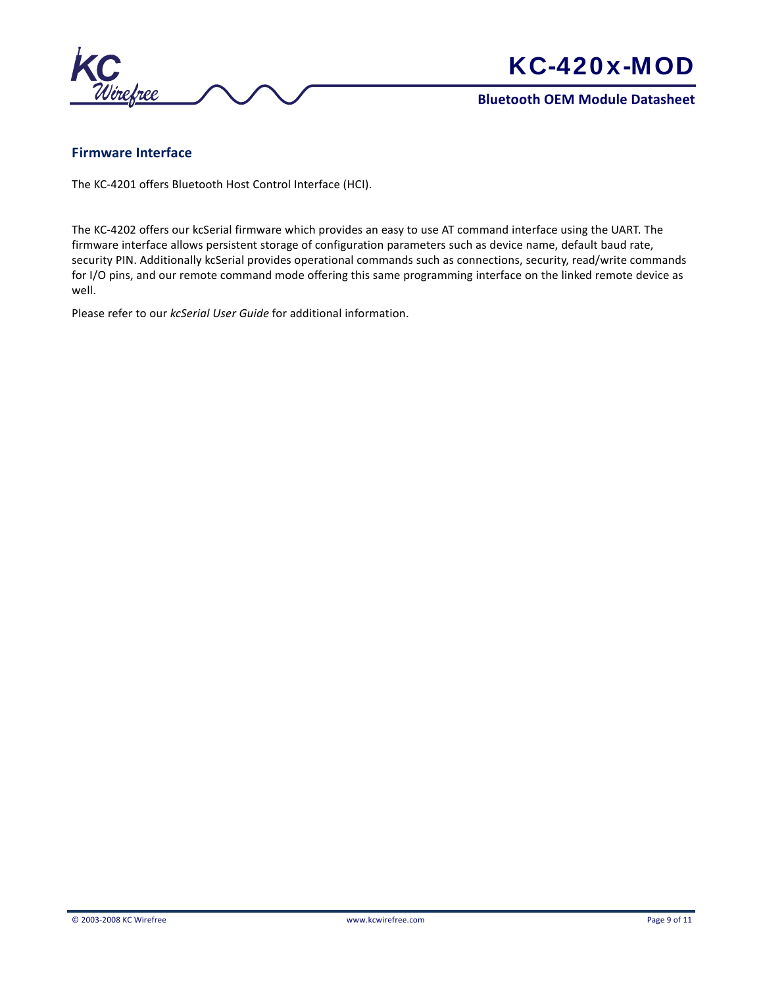

## **Bluetooth OEM Module Datasheet**

## **Firmware Interface**

The KC-4201 offers Bluetooth Host Control Interface (HCI).

The KC-4202 offers our kcSerial firmware which provides an easy to use AT command interface using the UART. The firmware interface allows persistent storage of configuration parameters such as device name, default baud rate, security PIN. Additionally kcSerial provides operational commands such as connections, security, read/write commands for I/O pins, and our remote command mode offering this same programming interface on the linked remote device as well.

Please refer to our *kcSerial User Guide* for additional information.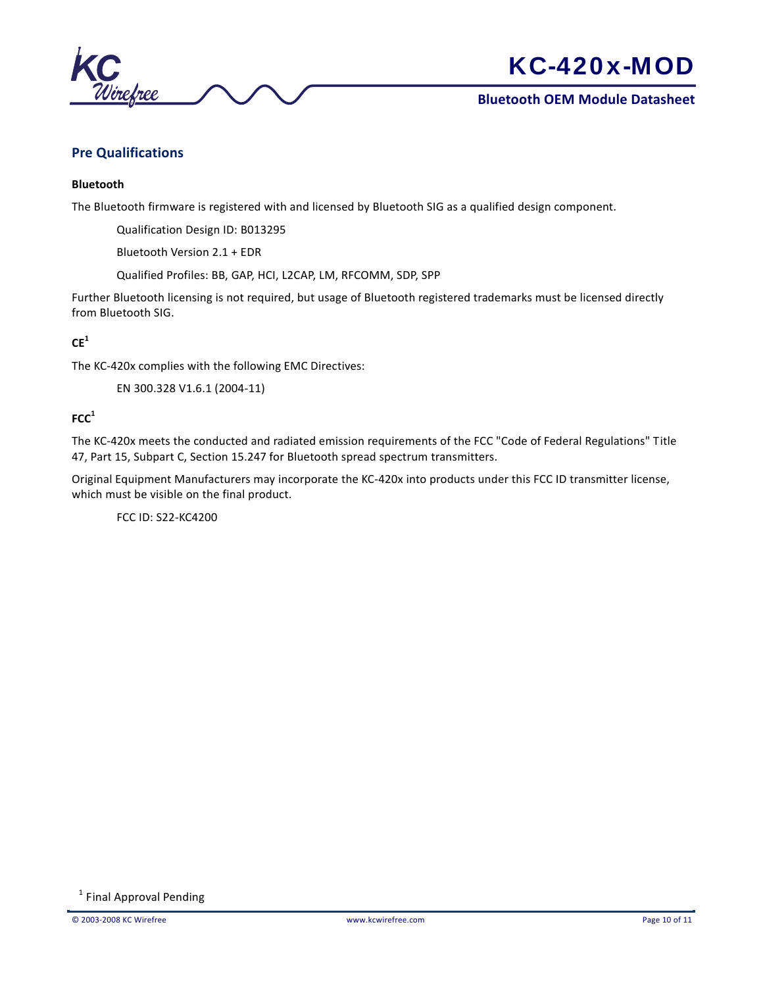

## **Bluetooth OEM Module Datasheet**

## **Pre Qualifications**

#### **Bluetooth**

The Bluetooth firmware is registered with and licensed by Bluetooth SIG as a qualified design component.

Qualification Design ID: B013295

Bluetooth Version 2.1 + EDR

Qualified Profiles: BB, GAP, HCI, L2CAP, LM, RFCOMM, SDP, SPP

Further Bluetooth licensing is not required, but usage of Bluetooth registered trademarks must be licensed directly from Bluetooth SIG.

### **CE<sup>1</sup>**

The KC-420x complies with the following EMC Directives:

EN 300.328 V1.6.1 (2004-11)

## **FCC<sup>1</sup>**

The KC-420x meets the conducted and radiated emission requirements of the FCC "Code of Federal Regulations" Title 47, Part 15, Subpart C, Section 15.247 for Bluetooth spread spectrum transmitters.

Original Equipment Manufacturers may incorporate the KC-420x into products under this FCC ID transmitter license, which must be visible on the final product.

FCC ID: S22-KC4200